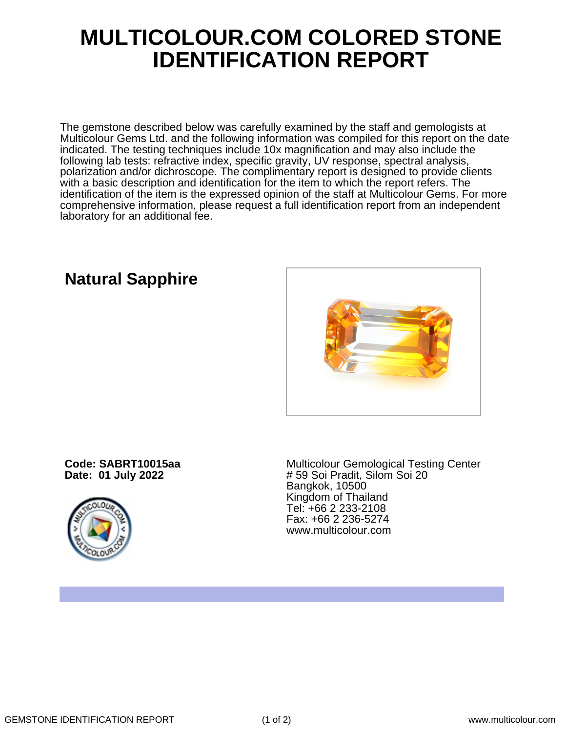## **MULTICOLOUR.COM COLORED STONE IDENTIFICATION REPORT**

The gemstone described below was carefully examined by the staff and gemologists at Multicolour Gems Ltd. and the following information was compiled for this report on the date indicated. The testing techniques include 10x magnification and may also include the following lab tests: refractive index, specific gravity, UV response, spectral analysis, polarization and/or dichroscope. The complimentary report is designed to provide clients with a basic description and identification for the item to which the report refers. The identification of the item is the expressed opinion of the staff at Multicolour Gems. For more comprehensive information, please request a full identification report from an independent laboratory for an additional fee.



## **Natural Sapphire**

**Code: SABRT10015aa Date: 01 July 2022**



Multicolour Gemological Testing Center # 59 Soi Pradit, Silom Soi 20 Bangkok, 10500 Kingdom of Thailand Tel: +66 2 233-2108 Fax: +66 2 236-5274 www.multicolour.com